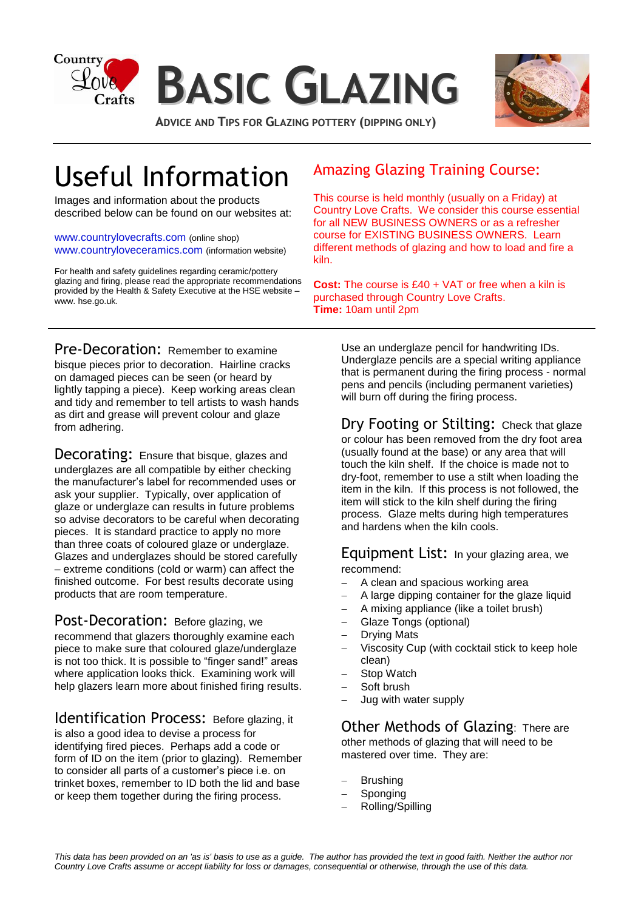



**ADVICE AND TIPS FOR GLAZING POTTERY (DIPPING ONLY)**

## Useful Information

Images and information about the products described below can be found on our websites at:

[www.countrylovecrafts.com](http://www.countrylovecrafts.com/) (online shop) [www.countryloveceramics.com](http://www.countryloveceramics.com/) (information website)

For health and safety guidelines regarding ceramic/pottery glazing and firing, please read the appropriate recommendations provided by the Health & Safety Executive at the HSE website – www. hse.go.uk.

### Amazing Glazing Training Course:

This course is held monthly (usually on a Friday) at Country Love Crafts. We consider this course essential for all NEW BUSINESS OWNERS or as a refresher course for EXISTING BUSINESS OWNERS. Learn different methods of glazing and how to load and fire a kiln.

**Cost:** The course is £40 + VAT or free when a kiln is purchased through Country Love Crafts. **Time:** 10am until 2pm

Pre-Decoration: Remember to examine bisque pieces prior to decoration. Hairline cracks on damaged pieces can be seen (or heard by lightly tapping a piece). Keep working areas clean and tidy and remember to tell artists to wash hands as dirt and grease will prevent colour and glaze from adhering.

Decorating: Ensure that bisque, glazes and underglazes are all compatible by either checking the manufacturer's label for recommended uses or ask your supplier. Typically, over application of glaze or underglaze can results in future problems so advise decorators to be careful when decorating pieces. It is standard practice to apply no more than three coats of coloured glaze or underglaze. Glazes and underglazes should be stored carefully – extreme conditions (cold or warm) can affect the finished outcome. For best results decorate using products that are room temperature.

Post-Decoration: Before glazing, we recommend that glazers thoroughly examine each piece to make sure that coloured glaze/underglaze is not too thick. It is possible to "finger sand!" areas where application looks thick. Examining work will help glazers learn more about finished firing results.

Identification Process: Before glazing, it is also a good idea to devise a process for identifying fired pieces. Perhaps add a code or form of ID on the item (prior to glazing). Remember to consider all parts of a customer's piece i.e. on trinket boxes, remember to ID both the lid and base or keep them together during the firing process.

Use an underglaze pencil for handwriting IDs. Underglaze pencils are a special writing appliance that is permanent during the firing process - normal pens and pencils (including permanent varieties) will burn off during the firing process.

Dry Footing or Stilting: Check that glaze or colour has been removed from the dry foot area (usually found at the base) or any area that will touch the kiln shelf. If the choice is made not to dry-foot, remember to use a stilt when loading the item in the kiln. If this process is not followed, the item will stick to the kiln shelf during the firing process. Glaze melts during high temperatures and hardens when the kiln cools.

Equipment List: In your glazing area, we recommend:

- A clean and spacious working area
- A large dipping container for the glaze liquid
- A mixing appliance (like a toilet brush)
- Glaze Tongs (optional)
- Drying Mats
- Viscosity Cup (with cocktail stick to keep hole clean)
- Stop Watch
- Soft brush
- Jug with water supply

Other Methods of Glazing: There are other methods of glazing that will need to be mastered over time. They are:

- Brushing
- Sponging
- Rolling/Spilling